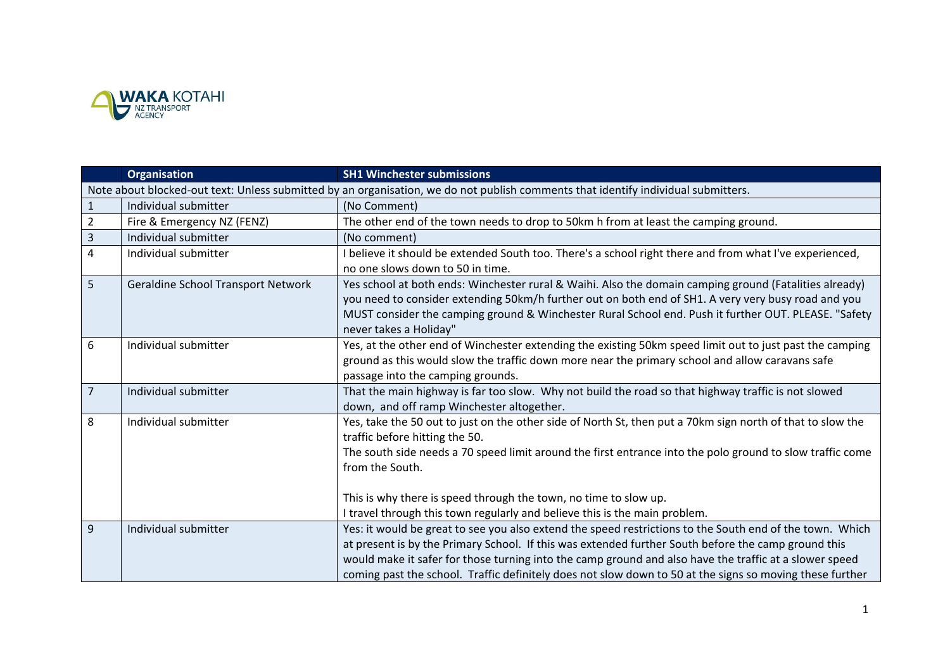

|                | <b>Organisation</b>                       | <b>SH1 Winchester submissions</b>                                                                                                                                                                                                                                                                                                                                                                                                     |
|----------------|-------------------------------------------|---------------------------------------------------------------------------------------------------------------------------------------------------------------------------------------------------------------------------------------------------------------------------------------------------------------------------------------------------------------------------------------------------------------------------------------|
|                |                                           | Note about blocked-out text: Unless submitted by an organisation, we do not publish comments that identify individual submitters.                                                                                                                                                                                                                                                                                                     |
|                | Individual submitter                      | (No Comment)                                                                                                                                                                                                                                                                                                                                                                                                                          |
| $\overline{2}$ | Fire & Emergency NZ (FENZ)                | The other end of the town needs to drop to 50km h from at least the camping ground.                                                                                                                                                                                                                                                                                                                                                   |
| 3              | Individual submitter                      | (No comment)                                                                                                                                                                                                                                                                                                                                                                                                                          |
| 4              | Individual submitter                      | I believe it should be extended South too. There's a school right there and from what I've experienced,<br>no one slows down to 50 in time.                                                                                                                                                                                                                                                                                           |
| 5              | <b>Geraldine School Transport Network</b> | Yes school at both ends: Winchester rural & Waihi. Also the domain camping ground (Fatalities already)<br>you need to consider extending 50km/h further out on both end of SH1. A very very busy road and you<br>MUST consider the camping ground & Winchester Rural School end. Push it further OUT. PLEASE. "Safety<br>never takes a Holiday"                                                                                       |
| 6              | Individual submitter                      | Yes, at the other end of Winchester extending the existing 50km speed limit out to just past the camping<br>ground as this would slow the traffic down more near the primary school and allow caravans safe<br>passage into the camping grounds.                                                                                                                                                                                      |
| $\overline{7}$ | Individual submitter                      | That the main highway is far too slow. Why not build the road so that highway traffic is not slowed<br>down, and off ramp Winchester altogether.                                                                                                                                                                                                                                                                                      |
| 8              | Individual submitter                      | Yes, take the 50 out to just on the other side of North St, then put a 70km sign north of that to slow the<br>traffic before hitting the 50.<br>The south side needs a 70 speed limit around the first entrance into the polo ground to slow traffic come<br>from the South.                                                                                                                                                          |
|                |                                           | This is why there is speed through the town, no time to slow up.<br>I travel through this town regularly and believe this is the main problem.                                                                                                                                                                                                                                                                                        |
| 9              | Individual submitter                      | Yes: it would be great to see you also extend the speed restrictions to the South end of the town. Which<br>at present is by the Primary School. If this was extended further South before the camp ground this<br>would make it safer for those turning into the camp ground and also have the traffic at a slower speed<br>coming past the school. Traffic definitely does not slow down to 50 at the signs so moving these further |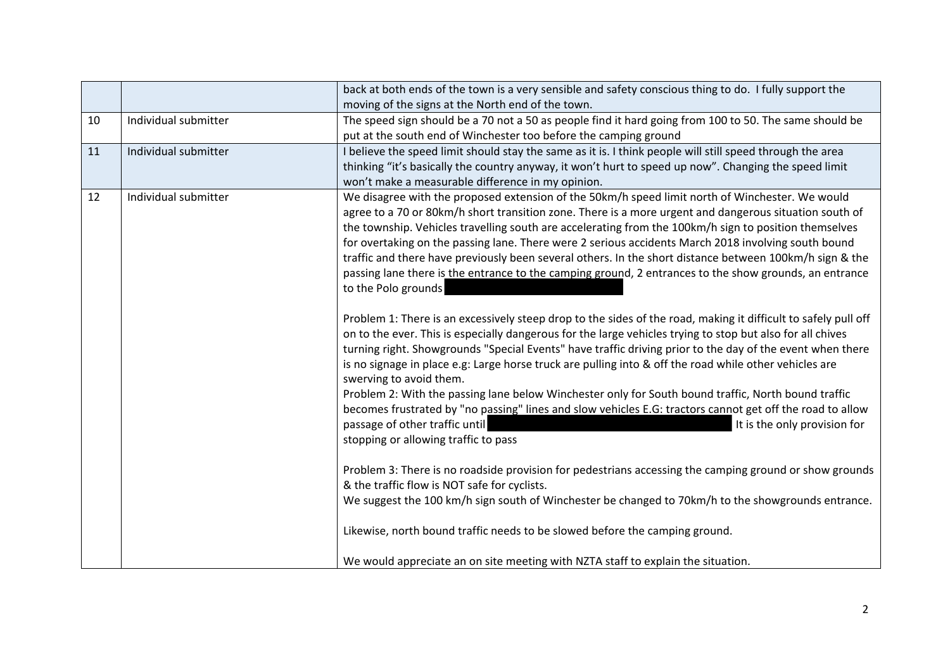|    |                      | back at both ends of the town is a very sensible and safety conscious thing to do. I fully support the         |
|----|----------------------|----------------------------------------------------------------------------------------------------------------|
|    |                      | moving of the signs at the North end of the town.                                                              |
| 10 | Individual submitter | The speed sign should be a 70 not a 50 as people find it hard going from 100 to 50. The same should be         |
|    |                      | put at the south end of Winchester too before the camping ground                                               |
| 11 | Individual submitter | I believe the speed limit should stay the same as it is. I think people will still speed through the area      |
|    |                      | thinking "it's basically the country anyway, it won't hurt to speed up now". Changing the speed limit          |
|    |                      | won't make a measurable difference in my opinion.                                                              |
| 12 | Individual submitter | We disagree with the proposed extension of the 50km/h speed limit north of Winchester. We would                |
|    |                      | agree to a 70 or 80km/h short transition zone. There is a more urgent and dangerous situation south of         |
|    |                      | the township. Vehicles travelling south are accelerating from the 100km/h sign to position themselves          |
|    |                      | for overtaking on the passing lane. There were 2 serious accidents March 2018 involving south bound            |
|    |                      | traffic and there have previously been several others. In the short distance between 100km/h sign & the        |
|    |                      | passing lane there is the entrance to the camping ground, 2 entrances to the show grounds, an entrance         |
|    |                      | to the Polo grounds                                                                                            |
|    |                      |                                                                                                                |
|    |                      | Problem 1: There is an excessively steep drop to the sides of the road, making it difficult to safely pull off |
|    |                      | on to the ever. This is especially dangerous for the large vehicles trying to stop but also for all chives     |
|    |                      | turning right. Showgrounds "Special Events" have traffic driving prior to the day of the event when there      |
|    |                      | is no signage in place e.g: Large horse truck are pulling into & off the road while other vehicles are         |
|    |                      | swerving to avoid them.                                                                                        |
|    |                      | Problem 2: With the passing lane below Winchester only for South bound traffic, North bound traffic            |
|    |                      | becomes frustrated by "no passing" lines and slow vehicles E.G: tractors cannot get off the road to allow      |
|    |                      | passage of other traffic until<br>It is the only provision for                                                 |
|    |                      | stopping or allowing traffic to pass                                                                           |
|    |                      | Problem 3: There is no roadside provision for pedestrians accessing the camping ground or show grounds         |
|    |                      | & the traffic flow is NOT safe for cyclists.                                                                   |
|    |                      | We suggest the 100 km/h sign south of Winchester be changed to 70km/h to the showgrounds entrance.             |
|    |                      |                                                                                                                |
|    |                      | Likewise, north bound traffic needs to be slowed before the camping ground.                                    |
|    |                      |                                                                                                                |
|    |                      | We would appreciate an on site meeting with NZTA staff to explain the situation.                               |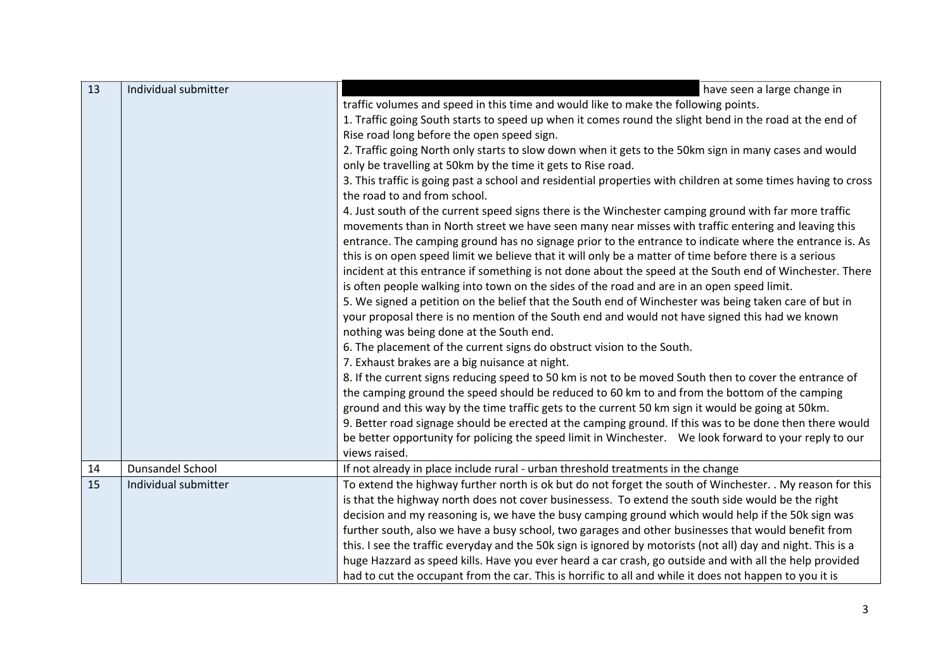| 13 | Individual submitter    | have seen a large change in                                                                                   |
|----|-------------------------|---------------------------------------------------------------------------------------------------------------|
|    |                         | traffic volumes and speed in this time and would like to make the following points.                           |
|    |                         | 1. Traffic going South starts to speed up when it comes round the slight bend in the road at the end of       |
|    |                         | Rise road long before the open speed sign.                                                                    |
|    |                         | 2. Traffic going North only starts to slow down when it gets to the 50km sign in many cases and would         |
|    |                         | only be travelling at 50km by the time it gets to Rise road.                                                  |
|    |                         | 3. This traffic is going past a school and residential properties with children at some times having to cross |
|    |                         | the road to and from school.                                                                                  |
|    |                         | 4. Just south of the current speed signs there is the Winchester camping ground with far more traffic         |
|    |                         | movements than in North street we have seen many near misses with traffic entering and leaving this           |
|    |                         | entrance. The camping ground has no signage prior to the entrance to indicate where the entrance is. As       |
|    |                         | this is on open speed limit we believe that it will only be a matter of time before there is a serious        |
|    |                         | incident at this entrance if something is not done about the speed at the South end of Winchester. There      |
|    |                         | is often people walking into town on the sides of the road and are in an open speed limit.                    |
|    |                         | 5. We signed a petition on the belief that the South end of Winchester was being taken care of but in         |
|    |                         | your proposal there is no mention of the South end and would not have signed this had we known                |
|    |                         | nothing was being done at the South end.                                                                      |
|    |                         | 6. The placement of the current signs do obstruct vision to the South.                                        |
|    |                         | 7. Exhaust brakes are a big nuisance at night.                                                                |
|    |                         | 8. If the current signs reducing speed to 50 km is not to be moved South then to cover the entrance of        |
|    |                         | the camping ground the speed should be reduced to 60 km to and from the bottom of the camping                 |
|    |                         | ground and this way by the time traffic gets to the current 50 km sign it would be going at 50 km.            |
|    |                         | 9. Better road signage should be erected at the camping ground. If this was to be done then there would       |
|    |                         | be better opportunity for policing the speed limit in Winchester.  We look forward to your reply to our       |
|    |                         | views raised.                                                                                                 |
| 14 | <b>Dunsandel School</b> | If not already in place include rural - urban threshold treatments in the change                              |
| 15 | Individual submitter    | To extend the highway further north is ok but do not forget the south of Winchester. . My reason for this     |
|    |                         | is that the highway north does not cover businessess. To extend the south side would be the right             |
|    |                         | decision and my reasoning is, we have the busy camping ground which would help if the 50k sign was            |
|    |                         | further south, also we have a busy school, two garages and other businesses that would benefit from           |
|    |                         | this. I see the traffic everyday and the 50k sign is ignored by motorists (not all) day and night. This is a  |
|    |                         | huge Hazzard as speed kills. Have you ever heard a car crash, go outside and with all the help provided       |
|    |                         | had to cut the occupant from the car. This is horrific to all and while it does not happen to you it is       |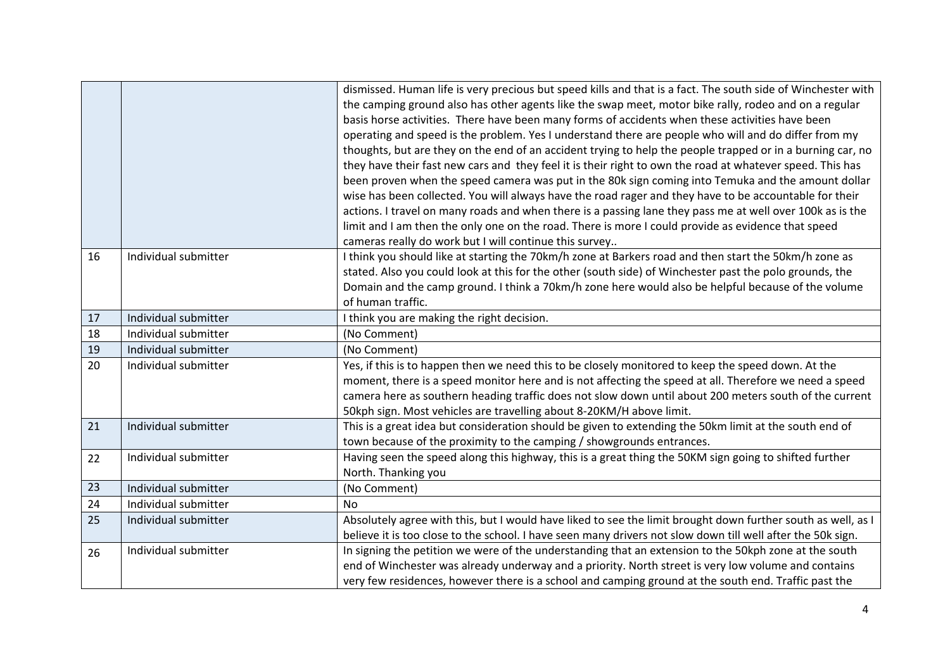|    |                      | dismissed. Human life is very precious but speed kills and that is a fact. The south side of Winchester with |
|----|----------------------|--------------------------------------------------------------------------------------------------------------|
|    |                      | the camping ground also has other agents like the swap meet, motor bike rally, rodeo and on a regular        |
|    |                      | basis horse activities. There have been many forms of accidents when these activities have been              |
|    |                      | operating and speed is the problem. Yes I understand there are people who will and do differ from my         |
|    |                      | thoughts, but are they on the end of an accident trying to help the people trapped or in a burning car, no   |
|    |                      | they have their fast new cars and they feel it is their right to own the road at whatever speed. This has    |
|    |                      | been proven when the speed camera was put in the 80k sign coming into Temuka and the amount dollar           |
|    |                      | wise has been collected. You will always have the road rager and they have to be accountable for their       |
|    |                      | actions. I travel on many roads and when there is a passing lane they pass me at well over 100k as is the    |
|    |                      | limit and I am then the only one on the road. There is more I could provide as evidence that speed           |
|    |                      | cameras really do work but I will continue this survey                                                       |
| 16 | Individual submitter | I think you should like at starting the 70km/h zone at Barkers road and then start the 50km/h zone as        |
|    |                      | stated. Also you could look at this for the other (south side) of Winchester past the polo grounds, the      |
|    |                      | Domain and the camp ground. I think a 70km/h zone here would also be helpful because of the volume           |
|    |                      | of human traffic.                                                                                            |
| 17 | Individual submitter | I think you are making the right decision.                                                                   |
| 18 | Individual submitter | (No Comment)                                                                                                 |
| 19 | Individual submitter | (No Comment)                                                                                                 |
| 20 | Individual submitter | Yes, if this is to happen then we need this to be closely monitored to keep the speed down. At the           |
|    |                      | moment, there is a speed monitor here and is not affecting the speed at all. Therefore we need a speed       |
|    |                      | camera here as southern heading traffic does not slow down until about 200 meters south of the current       |
|    |                      | 50kph sign. Most vehicles are travelling about 8-20KM/H above limit.                                         |
| 21 | Individual submitter | This is a great idea but consideration should be given to extending the 50km limit at the south end of       |
|    |                      | town because of the proximity to the camping / showgrounds entrances.                                        |
| 22 | Individual submitter | Having seen the speed along this highway, this is a great thing the 50KM sign going to shifted further       |
|    |                      | North. Thanking you                                                                                          |
| 23 | Individual submitter | (No Comment)                                                                                                 |
| 24 | Individual submitter | <b>No</b>                                                                                                    |
| 25 | Individual submitter | Absolutely agree with this, but I would have liked to see the limit brought down further south as well, as I |
|    |                      | believe it is too close to the school. I have seen many drivers not slow down till well after the 50k sign.  |
| 26 | Individual submitter | In signing the petition we were of the understanding that an extension to the 50kph zone at the south        |
|    |                      | end of Winchester was already underway and a priority. North street is very low volume and contains          |
|    |                      | very few residences, however there is a school and camping ground at the south end. Traffic past the         |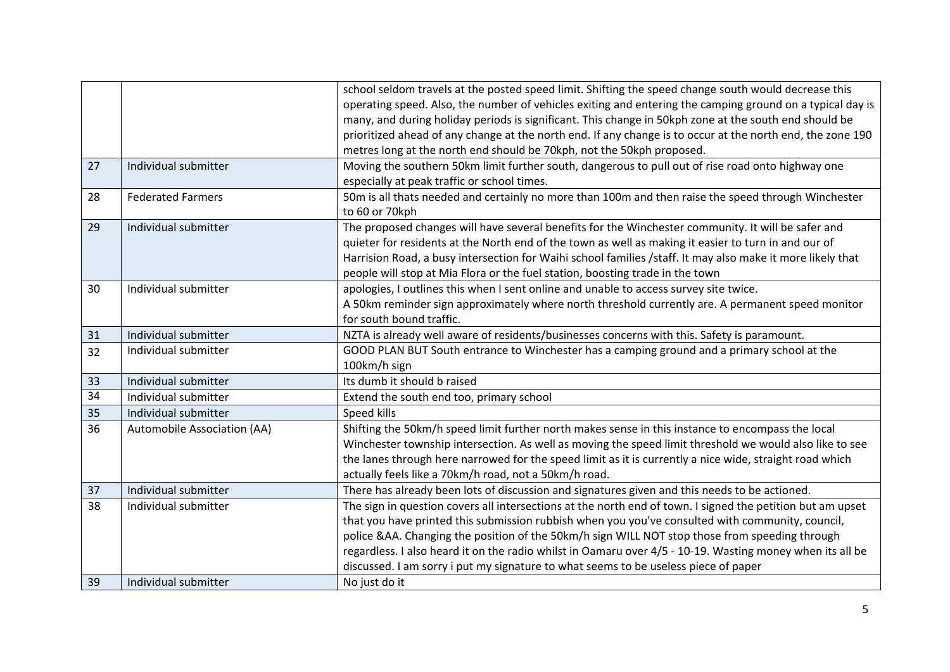|    |                             | school seldom travels at the posted speed limit. Shifting the speed change south would decrease this       |
|----|-----------------------------|------------------------------------------------------------------------------------------------------------|
|    |                             | operating speed. Also, the number of vehicles exiting and entering the camping ground on a typical day is  |
|    |                             | many, and during holiday periods is significant. This change in 50kph zone at the south end should be      |
|    |                             | prioritized ahead of any change at the north end. If any change is to occur at the north end, the zone 190 |
|    |                             | metres long at the north end should be 70kph, not the 50kph proposed.                                      |
| 27 | Individual submitter        | Moving the southern 50km limit further south, dangerous to pull out of rise road onto highway one          |
|    |                             | especially at peak traffic or school times.                                                                |
| 28 | <b>Federated Farmers</b>    | 50m is all thats needed and certainly no more than 100m and then raise the speed through Winchester        |
|    |                             | to 60 or 70kph                                                                                             |
| 29 | Individual submitter        | The proposed changes will have several benefits for the Winchester community. It will be safer and         |
|    |                             | quieter for residents at the North end of the town as well as making it easier to turn in and our of       |
|    |                             | Harrision Road, a busy intersection for Waihi school families /staff. It may also make it more likely that |
|    |                             | people will stop at Mia Flora or the fuel station, boosting trade in the town                              |
| 30 | Individual submitter        | apologies, I outlines this when I sent online and unable to access survey site twice.                      |
|    |                             | A 50km reminder sign approximately where north threshold currently are. A permanent speed monitor          |
|    |                             | for south bound traffic.                                                                                   |
| 31 | Individual submitter        | NZTA is already well aware of residents/businesses concerns with this. Safety is paramount.                |
| 32 | Individual submitter        | GOOD PLAN BUT South entrance to Winchester has a camping ground and a primary school at the                |
|    |                             | 100km/h sign                                                                                               |
| 33 | Individual submitter        | Its dumb it should b raised                                                                                |
| 34 | Individual submitter        | Extend the south end too, primary school                                                                   |
| 35 | Individual submitter        | Speed kills                                                                                                |
| 36 | Automobile Association (AA) | Shifting the 50km/h speed limit further north makes sense in this instance to encompass the local          |
|    |                             | Winchester township intersection. As well as moving the speed limit threshold we would also like to see    |
|    |                             | the lanes through here narrowed for the speed limit as it is currently a nice wide, straight road which    |
|    |                             | actually feels like a 70km/h road, not a 50km/h road.                                                      |
| 37 | Individual submitter        | There has already been lots of discussion and signatures given and this needs to be actioned.              |
| 38 | Individual submitter        | The sign in question covers all intersections at the north end of town. I signed the petition but am upset |
|    |                             | that you have printed this submission rubbish when you you've consulted with community, council,           |
|    |                             | police &AA. Changing the position of the 50km/h sign WILL NOT stop those from speeding through             |
|    |                             | regardless. I also heard it on the radio whilst in Oamaru over 4/5 - 10-19. Wasting money when its all be  |
|    |                             | discussed. I am sorry i put my signature to what seems to be useless piece of paper                        |
| 39 | Individual submitter        | No just do it                                                                                              |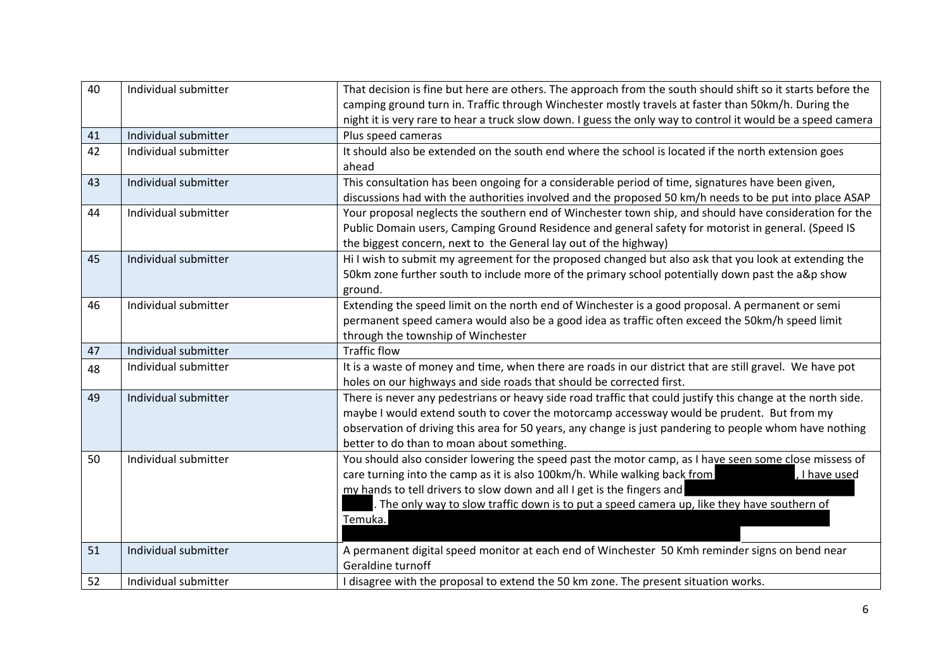| 40 | Individual submitter | That decision is fine but here are others. The approach from the south should shift so it starts before the |
|----|----------------------|-------------------------------------------------------------------------------------------------------------|
|    |                      | camping ground turn in. Traffic through Winchester mostly travels at faster than 50km/h. During the         |
|    |                      | night it is very rare to hear a truck slow down. I guess the only way to control it would be a speed camera |
| 41 | Individual submitter | Plus speed cameras                                                                                          |
| 42 | Individual submitter | It should also be extended on the south end where the school is located if the north extension goes         |
|    |                      | ahead                                                                                                       |
| 43 | Individual submitter | This consultation has been ongoing for a considerable period of time, signatures have been given,           |
|    |                      | discussions had with the authorities involved and the proposed 50 km/h needs to be put into place ASAP      |
| 44 | Individual submitter | Your proposal neglects the southern end of Winchester town ship, and should have consideration for the      |
|    |                      | Public Domain users, Camping Ground Residence and general safety for motorist in general. (Speed IS         |
|    |                      | the biggest concern, next to the General lay out of the highway)                                            |
| 45 | Individual submitter | Hi I wish to submit my agreement for the proposed changed but also ask that you look at extending the       |
|    |                      | 50km zone further south to include more of the primary school potentially down past the a&p show            |
|    |                      | ground.                                                                                                     |
| 46 | Individual submitter | Extending the speed limit on the north end of Winchester is a good proposal. A permanent or semi            |
|    |                      | permanent speed camera would also be a good idea as traffic often exceed the 50km/h speed limit             |
|    |                      | through the township of Winchester                                                                          |
| 47 | Individual submitter | <b>Traffic flow</b>                                                                                         |
| 48 | Individual submitter | It is a waste of money and time, when there are roads in our district that are still gravel. We have pot    |
|    |                      | holes on our highways and side roads that should be corrected first.                                        |
| 49 | Individual submitter | There is never any pedestrians or heavy side road traffic that could justify this change at the north side. |
|    |                      | maybe I would extend south to cover the motorcamp accessway would be prudent. But from my                   |
|    |                      | observation of driving this area for 50 years, any change is just pandering to people whom have nothing     |
|    |                      | better to do than to moan about something.                                                                  |
| 50 | Individual submitter | You should also consider lowering the speed past the motor camp, as I have seen some close missess of       |
|    |                      | care turning into the camp as it is also 100km/h. While walking back from<br>, I have used                  |
|    |                      | my hands to tell drivers to slow down and all I get is the fingers and                                      |
|    |                      | . The only way to slow traffic down is to put a speed camera up, like they have southern of                 |
|    |                      | Temuka.                                                                                                     |
|    |                      |                                                                                                             |
| 51 | Individual submitter | A permanent digital speed monitor at each end of Winchester 50 Kmh reminder signs on bend near              |
|    |                      | Geraldine turnoff                                                                                           |
| 52 | Individual submitter | I disagree with the proposal to extend the 50 km zone. The present situation works.                         |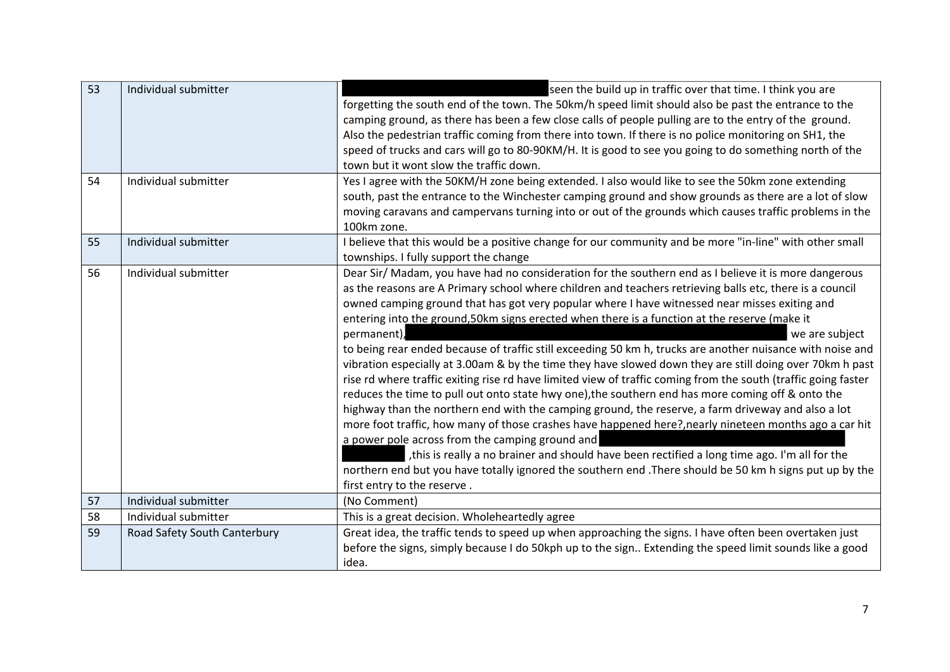| 53 | Individual submitter         | seen the build up in traffic over that time. I think you are<br>forgetting the south end of the town. The 50km/h speed limit should also be past the entrance to the<br>camping ground, as there has been a few close calls of people pulling are to the entry of the ground.<br>Also the pedestrian traffic coming from there into town. If there is no police monitoring on SH1, the<br>speed of trucks and cars will go to 80-90KM/H. It is good to see you going to do something north of the<br>town but it wont slow the traffic down.                                                                                                                                                                                                                                                                                                                                                                                                                                                                                                                                                                                                                                                                                                                                                                                                                                                                         |
|----|------------------------------|----------------------------------------------------------------------------------------------------------------------------------------------------------------------------------------------------------------------------------------------------------------------------------------------------------------------------------------------------------------------------------------------------------------------------------------------------------------------------------------------------------------------------------------------------------------------------------------------------------------------------------------------------------------------------------------------------------------------------------------------------------------------------------------------------------------------------------------------------------------------------------------------------------------------------------------------------------------------------------------------------------------------------------------------------------------------------------------------------------------------------------------------------------------------------------------------------------------------------------------------------------------------------------------------------------------------------------------------------------------------------------------------------------------------|
| 54 | Individual submitter         | Yes I agree with the 50KM/H zone being extended. I also would like to see the 50km zone extending<br>south, past the entrance to the Winchester camping ground and show grounds as there are a lot of slow<br>moving caravans and campervans turning into or out of the grounds which causes traffic problems in the<br>100km zone.                                                                                                                                                                                                                                                                                                                                                                                                                                                                                                                                                                                                                                                                                                                                                                                                                                                                                                                                                                                                                                                                                  |
| 55 | Individual submitter         | I believe that this would be a positive change for our community and be more "in-line" with other small<br>townships. I fully support the change                                                                                                                                                                                                                                                                                                                                                                                                                                                                                                                                                                                                                                                                                                                                                                                                                                                                                                                                                                                                                                                                                                                                                                                                                                                                     |
| 56 | Individual submitter         | Dear Sir/ Madam, you have had no consideration for the southern end as I believe it is more dangerous<br>as the reasons are A Primary school where children and teachers retrieving balls etc, there is a council<br>owned camping ground that has got very popular where I have witnessed near misses exiting and<br>entering into the ground, 50km signs erected when there is a function at the reserve (make it<br>permanent),<br>we are subject<br>to being rear ended because of traffic still exceeding 50 km h, trucks are another nuisance with noise and<br>vibration especially at 3.00am & by the time they have slowed down they are still doing over 70km h past<br>rise rd where traffic exiting rise rd have limited view of traffic coming from the south (traffic going faster<br>reduces the time to pull out onto state hwy one), the southern end has more coming off & onto the<br>highway than the northern end with the camping ground, the reserve, a farm driveway and also a lot<br>more foot traffic, how many of those crashes have happened here?, nearly nineteen months ago a car hit<br>a power pole across from the camping ground and<br>, this is really a no brainer and should have been rectified a long time ago. I'm all for the<br>northern end but you have totally ignored the southern end . There should be 50 km h signs put up by the<br>first entry to the reserve. |
| 57 | Individual submitter         | (No Comment)                                                                                                                                                                                                                                                                                                                                                                                                                                                                                                                                                                                                                                                                                                                                                                                                                                                                                                                                                                                                                                                                                                                                                                                                                                                                                                                                                                                                         |
| 58 | Individual submitter         | This is a great decision. Wholeheartedly agree                                                                                                                                                                                                                                                                                                                                                                                                                                                                                                                                                                                                                                                                                                                                                                                                                                                                                                                                                                                                                                                                                                                                                                                                                                                                                                                                                                       |
| 59 | Road Safety South Canterbury | Great idea, the traffic tends to speed up when approaching the signs. I have often been overtaken just<br>before the signs, simply because I do 50kph up to the sign Extending the speed limit sounds like a good<br>idea.                                                                                                                                                                                                                                                                                                                                                                                                                                                                                                                                                                                                                                                                                                                                                                                                                                                                                                                                                                                                                                                                                                                                                                                           |